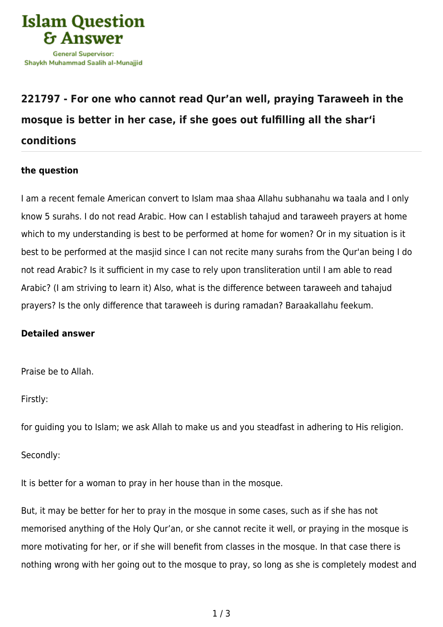

## **[221797 - For one who cannot read Qur'an well, praying Taraweeh in the](https://islamqa.com/en/answers/221797/for-one-who-cannot-read-quran-well-praying-taraweeh-in-the-mosque-is-better-in-her-case-if-she-goes-out-fulfilling-all-the-shari-conditions) [mosque is better in her case, if she goes out fulfilling all the shar'i](https://islamqa.com/en/answers/221797/for-one-who-cannot-read-quran-well-praying-taraweeh-in-the-mosque-is-better-in-her-case-if-she-goes-out-fulfilling-all-the-shari-conditions) [conditions](https://islamqa.com/en/answers/221797/for-one-who-cannot-read-quran-well-praying-taraweeh-in-the-mosque-is-better-in-her-case-if-she-goes-out-fulfilling-all-the-shari-conditions)**

## **the question**

I am a recent female American convert to Islam maa shaa Allahu subhanahu wa taala and I only know 5 surahs. I do not read Arabic. How can I establish tahajud and taraweeh prayers at home which to my understanding is best to be performed at home for women? Or in my situation is it best to be performed at the masjid since I can not recite many surahs from the Qur'an being I do not read Arabic? Is it sufficient in my case to rely upon transliteration until I am able to read Arabic? (I am striving to learn it) Also, what is the difference between taraweeh and tahajud prayers? Is the only difference that taraweeh is during ramadan? Baraakallahu feekum.

## **Detailed answer**

Praise be to Allah.

Firstly:

for guiding you to Islam; we ask Allah to make us and you steadfast in adhering to His religion.

Secondly:

It is better for a woman to pray in her house than in the mosque.

But, it may be better for her to pray in the mosque in some cases, such as if she has not memorised anything of the Holy Qur'an, or she cannot recite it well, or praying in the mosque is more motivating for her, or if she will benefit from classes in the mosque. In that case there is nothing wrong with her going out to the mosque to pray, so long as she is completely modest and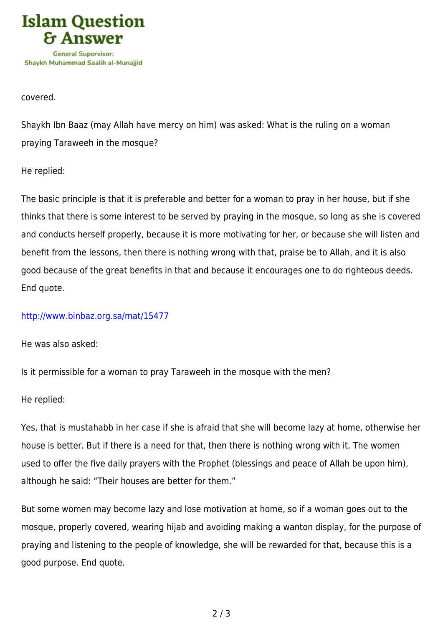

covered.

Shaykh Ibn Baaz (may Allah have mercy on him) was asked: What is the ruling on a woman praying Taraweeh in the mosque?

He replied:

The basic principle is that it is preferable and better for a woman to pray in her house, but if she thinks that there is some interest to be served by praying in the mosque, so long as she is covered and conducts herself properly, because it is more motivating for her, or because she will listen and benefit from the lessons, then there is nothing wrong with that, praise be to Allah, and it is also good because of the great benefits in that and because it encourages one to do righteous deeds. End quote.

## <http://www.binbaz.org.sa/mat/15477>

He was also asked:

Is it permissible for a woman to pray Taraweeh in the mosque with the men?

He replied:

Yes, that is mustahabb in her case if she is afraid that she will become lazy at home, otherwise her house is better. But if there is a need for that, then there is nothing wrong with it. The women used to offer the five daily prayers with the Prophet (blessings and peace of Allah be upon him), although he said: "Their houses are better for them."

But some women may become lazy and lose motivation at home, so if a woman goes out to the mosque, properly covered, wearing hijab and avoiding making a wanton display, for the purpose of praying and listening to the people of knowledge, she will be rewarded for that, because this is a good purpose. End quote.